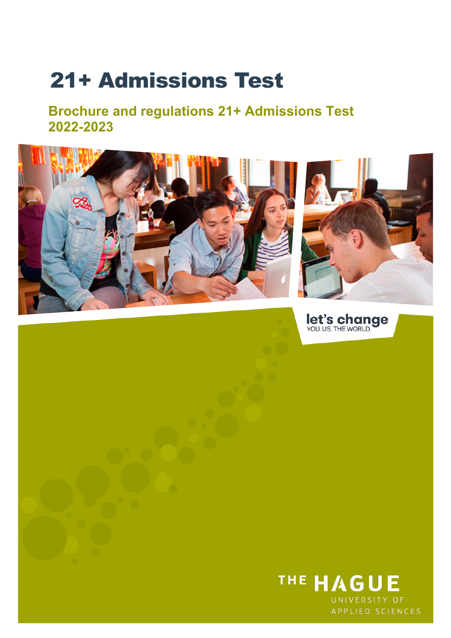# 21+ Admissions Test

**Brochure and regulations 21+ Admissions Test 2022-2023**



let's change

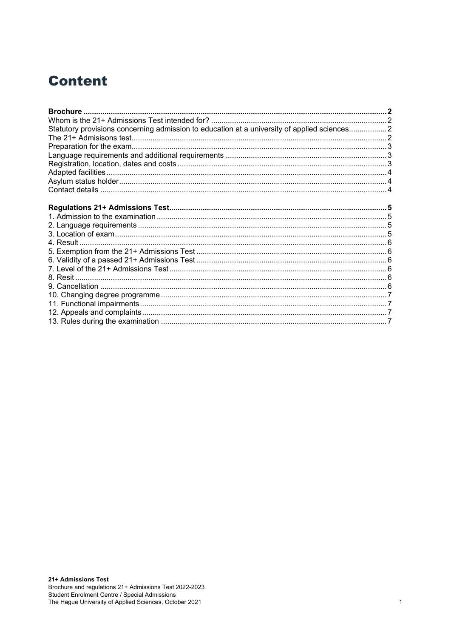### **Content**

| Statutory provisions concerning admission to education at a university of applied sciences2 |  |
|---------------------------------------------------------------------------------------------|--|
|                                                                                             |  |
|                                                                                             |  |
|                                                                                             |  |
|                                                                                             |  |
|                                                                                             |  |
|                                                                                             |  |
|                                                                                             |  |
|                                                                                             |  |
|                                                                                             |  |
|                                                                                             |  |
|                                                                                             |  |
|                                                                                             |  |
|                                                                                             |  |
|                                                                                             |  |
|                                                                                             |  |
|                                                                                             |  |
|                                                                                             |  |
|                                                                                             |  |
|                                                                                             |  |
|                                                                                             |  |
|                                                                                             |  |
|                                                                                             |  |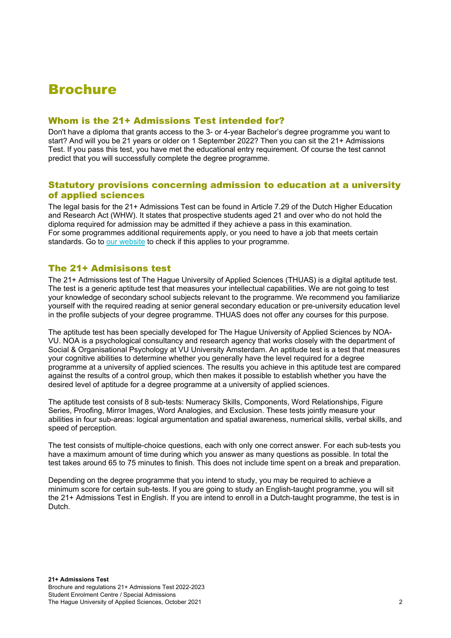### <span id="page-2-0"></span>Brochure

#### <span id="page-2-1"></span>Whom is the 21+ Admissions Test intended for?

Don't have a diploma that grants access to the 3- or 4-year Bachelor's degree programme you want to start? And will you be 21 years or older on 1 September 2022? Then you can sit the 21+ Admissions Test. If you pass this test, you have met the educational entry requirement. Of course the test cannot predict that you will successfully complete the degree programme.

#### <span id="page-2-2"></span>Statutory provisions concerning admission to education at a university of applied sciences

The legal basis for the 21+ Admissions Test can be found in Article 7.29 of the Dutch Higher Education and Research Act (WHW). It states that prospective students aged 21 and over who do not hold the diploma required for admission may be admitted if they achieve a pass in this examination. For some programmes additional requirements apply, or you need to have a job that meets certain standards. Go to [our website](https://www.thehagueuniversity.com/programmes/bachelors/language/en) to check if this applies to your programme.

#### <span id="page-2-3"></span>The 21+ Admisisons test

The 21+ Admissions test of The Hague University of Applied Sciences (THUAS) is a digital aptitude test. The test is a generic aptitude test that measures your intellectual capabilities. We are not going to test your knowledge of secondary school subjects relevant to the programme. We recommend you familiarize yourself with the required reading at senior general secondary education or pre-university education level in the profile subjects of your degree programme. THUAS does not offer any courses for this purpose.

The aptitude test has been specially developed for The Hague University of Applied Sciences by NOA-VU. NOA is a psychological consultancy and research agency that works closely with the department of Social & Organisational Psychology at VU University Amsterdam. An aptitude test is a test that measures your cognitive abilities to determine whether you generally have the level required for a degree programme at a university of applied sciences. The results you achieve in this aptitude test are compared against the results of a control group, which then makes it possible to establish whether you have the desired level of aptitude for a degree programme at a university of applied sciences.

The aptitude test consists of 8 sub-tests: Numeracy Skills, Components, Word Relationships, Figure Series, Proofing, Mirror Images, Word Analogies, and Exclusion. These tests jointly measure your abilities in four sub-areas: logical argumentation and spatial awareness, numerical skills, verbal skills, and speed of perception.

The test consists of multiple-choice questions, each with only one correct answer. For each sub-tests you have a maximum amount of time during which you answer as many questions as possible. In total the test takes around 65 to 75 minutes to finish. This does not include time spent on a break and preparation.

Depending on the degree programme that you intend to study, you may be required to achieve a minimum score for certain sub-tests. If you are going to study an English-taught programme, you will sit the 21+ Admissions Test in English. If you are intend to enroll in a Dutch-taught programme, the test is in Dutch.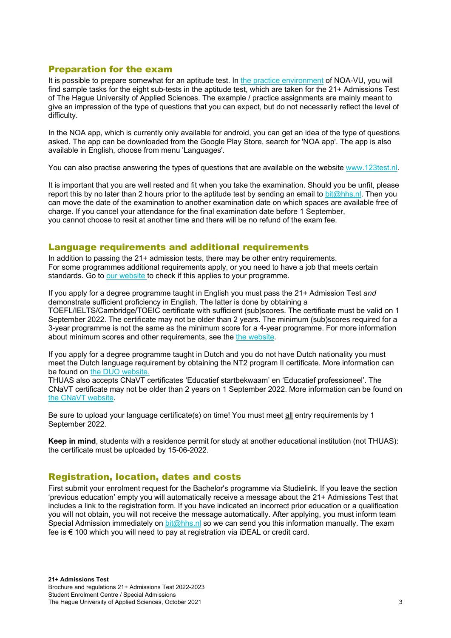#### <span id="page-3-0"></span>Preparation for the exam

It is possible to prepare somewhat for an aptitude test. In [the practice environment](https://www.noa-online.net/open/mct-h-HH) of NOA-VU, you will find sample tasks for the eight sub-tests in the aptitude test, which are taken for the 21+ Admissions Test of The Hague University of Applied Sciences. The example / practice assignments are mainly meant to give an impression of the type of questions that you can expect, but do not necessarily reflect the level of difficulty.

In the NOA app, which is currently only available for android, you can get an idea of the type of questions asked. The app can be downloaded from the Google Play Store, search for 'NOA app'. The app is also available in English, choose from menu 'Languages'.

You can also practise answering the types of questions that are available on the website [www.123test.nl.](http://www.123test.nl/)

It is important that you are well rested and fit when you take the examination. Should you be unfit, please report this by no later than 2 hours prior to the aptitude test by sending an email to [bit@hhs.nl.](mailto:bit@hhs.nl) Then you can move the date of the examination to another examination date on which spaces are available free of charge. If you cancel your attendance for the final examination date before 1 September, you cannot choose to resit at another time and there will be no refund of the exam fee.

#### <span id="page-3-1"></span>Language requirements and additional requirements

In addition to passing the 21+ admission tests, there may be other entry requirements. For some programmes additional requirements apply, or you need to have a job that meets certain standards. Go to [our website](https://www.thehagueuniversity.com/programmes/bachelors/language/en) to check if this applies to your programme.

If you apply for a degree programme taught in English you must pass the 21+ Admission Test *and* demonstrate sufficient proficiency in English. The latter is done by obtaining a TOEFL/IELTS/Cambridge/TOEIC certificate with sufficient (sub)scores. The certificate must be valid on 1 September 2022. The certificate may not be older than 2 years. The minimum (sub)scores required for a 3-year programme is not the same as the minimum score for a 4-year programme. For more information about minimum scores and other requirements, see the the website.

If you apply for a degree programme taught in Dutch and you do not have Dutch nationality you must meet the Dutch language requirement by obtaining the NT2 program II certificate. More information can be found on [the DUO website.](https://duo.nl/particulier)

THUAS also accepts CNaVT certificates 'Educatief startbekwaam' en 'Educatief professioneel'. The CNaVT certificate may not be older than 2 years on 1 September 2022. More information can be found on [the CNaVT website.](https://cnavt.org/en/introduction)

Be sure to upload your language certificate(s) on time! You must meet all entry requirements by 1 September 2022.

**Keep in mind**, students with a residence permit for study at another educational institution (not THUAS): the certificate must be uploaded by 15-06-2022.

#### <span id="page-3-2"></span>Registration, location, dates and costs

First submit your enrolment request for the Bachelor's programme via Studielink. If you leave the section 'previous education' empty you will automatically receive a message about the 21+ Admissions Test that includes a link to the registration form. If you have indicated an incorrect prior education or a qualification you will not obtain, you will not receive the message automatically. After applying, you must inform team Special Admission immediately on  $bit@hhs.nl$  so we can send you this information manually. The exam fee is € 100 which you will need to pay at registration via iDEAL or credit card.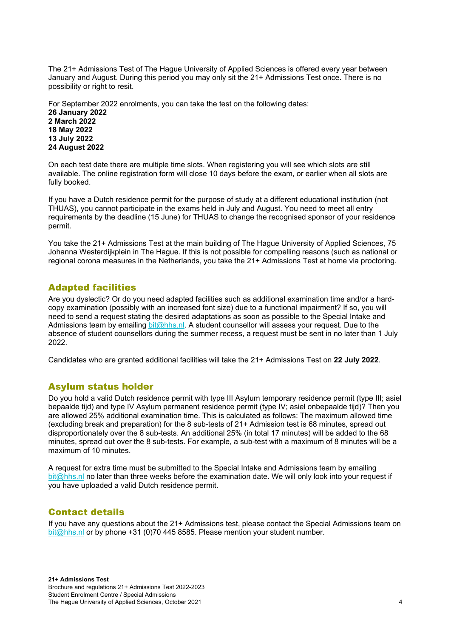The 21+ Admissions Test of The Hague University of Applied Sciences is offered every year between January and August. During this period you may only sit the 21+ Admissions Test once. There is no possibility or right to resit.

For September 2022 enrolments, you can take the test on the following dates:

**26 January 2022 2 March 2022 18 May 2022 13 July 2022 24 August 2022** 

On each test date there are multiple time slots. When registering you will see which slots are still available. The online registration form will close 10 days before the exam, or earlier when all slots are fully booked.

If you have a Dutch residence permit for the purpose of study at a different educational institution (not THUAS), you cannot participate in the exams held in July and August. You need to meet all entry requirements by the deadline (15 June) for THUAS to change the recognised sponsor of your residence permit.

You take the 21+ Admissions Test at the main building of The Hague University of Applied Sciences, 75 Johanna Westerdijkplein in The Hague. If this is not possible for compelling reasons (such as national or regional corona measures in the Netherlands, you take the 21+ Admissions Test at home via proctoring.

### <span id="page-4-0"></span>Adapted facilities

Are you dyslectic? Or do you need adapted facilities such as additional examination time and/or a hardcopy examination (possibly with an increased font size) due to a functional impairment? If so, you will need to send a request stating the desired adaptations as soon as possible to the Special Intake and Admissions team by emailing [bit@hhs.nl.](mailto:bit@hhs.nl) A student counsellor will assess your request. Due to the absence of student counsellors during the summer recess, a request must be sent in no later than 1 July 2022.

Candidates who are granted additional facilities will take the 21+ Admissions Test on **22 July 2022**.

#### <span id="page-4-1"></span>Asylum status holder

Do you hold a valid Dutch residence permit with type III Asylum temporary residence permit (type III; asiel bepaalde tijd) and type IV Asylum permanent residence permit (type IV; asiel onbepaalde tijd)? Then you are allowed 25% additional examination time. This is calculated as follows: The maximum allowed time (excluding break and preparation) for the 8 sub-tests of 21+ Admission test is 68 minutes, spread out disproportionately over the 8 sub-tests. An additional 25% (in total 17 minutes) will be added to the 68 minutes, spread out over the 8 sub-tests. For example, a sub-test with a maximum of 8 minutes will be a maximum of 10 minutes.

A request for extra time must be submitted to the Special Intake and Admissions team by emailing [bit@hhs.nl](mailto:bit@hhs.nl) no later than three weeks before the examination date. We will only look into your request if you have uploaded a valid Dutch residence permit.

#### <span id="page-4-2"></span>Contact details

If you have any questions about the 21+ Admissions test, please contact the Special Admissions team on bit $@h$ hs.nl or by phone +31 (0)70 445 8585. Please mention your student number.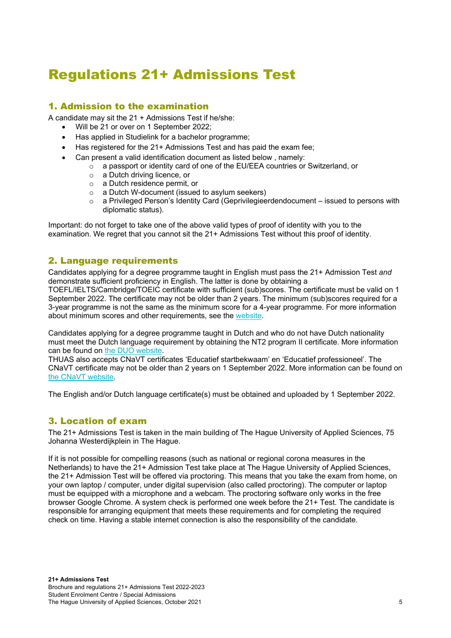## <span id="page-5-0"></span>Regulations 21+ Admissions Test

### <span id="page-5-1"></span>1. Admission to the examination

A candidate may sit the 21 + Admissions Test if he/she:

- Will be 21 or over on 1 September 2022;
- Has applied in Studielink for a bachelor programme;
- Has registered for the 21+ Admissions Test and has paid the exam fee;
- Can present a valid identification document as listed below , namely:
	- $\circ$  a passport or identity card of one of the EU/EEA countries or Switzerland, or <br> $\circ$  a Dutch driving licence, or
		- a Dutch driving licence, or
		- o a Dutch residence permit, or
		- o a Dutch W-document (issued to asylum seekers)
		- $\circ$  a Privileged Person's Identity Card (Geprivilegieerdendocument issued to persons with diplomatic status).

Important: do not forget to take one of the above valid types of proof of identity with you to the examination. We regret that you cannot sit the 21+ Admissions Test without this proof of identity.

#### <span id="page-5-2"></span>2. Language requirements

Candidates applying for a degree programme taught in English must pass the 21+ Admission Test *and* demonstrate sufficient proficiency in English. The latter is done by obtaining a TOEFL/IELTS/Cambridge/TOEIC certificate with sufficient (sub)scores. The certificate must be valid on 1 September 2022. The certificate may not be older than 2 years. The minimum (sub)scores required for a 3-year programme is not the same as the minimum score for a 4-year programme. For more information about minimum scores and other requirements, see the [website.](https://www.thehagueuniversity.com/study-choice/applications-finances-and-moving-here/applying/entry-requirements)

Candidates applying for a degree programme taught in Dutch and who do not have Dutch nationality must meet the Dutch language requirement by obtaining the NT2 program II certificate. More information can be found on [the DUO website.](https://duo.nl/particulier)

THUAS also accepts CNaVT certificates 'Educatief startbekwaam' en 'Educatief professioneel'. The CNaVT certificate may not be older than 2 years on 1 September 2022. More information can be found on [the CNaVT website.](https://cnavt.org/en/introduction)

The English and/or Dutch language certificate(s) must be obtained and uploaded by 1 September 2022.

#### <span id="page-5-3"></span>3. Location of exam

The 21+ Admissions Test is taken in the main building of The Hague University of Applied Sciences, 75 Johanna Westerdijkplein in The Hague.

If it is not possible for compelling reasons (such as national or regional corona measures in the Netherlands) to have the 21+ Admission Test take place at The Hague University of Applied Sciences, the 21+ Admission Test will be offered via proctoring. This means that you take the exam from home, on your own laptop / computer, under digital supervision (also called proctoring). The computer or laptop must be equipped with a microphone and a webcam. The proctoring software only works in the free browser Google Chrome. A system check is performed one week before the 21+ Test. The candidate is responsible for arranging equipment that meets these requirements and for completing the required check on time. Having a stable internet connection is also the responsibility of the candidate.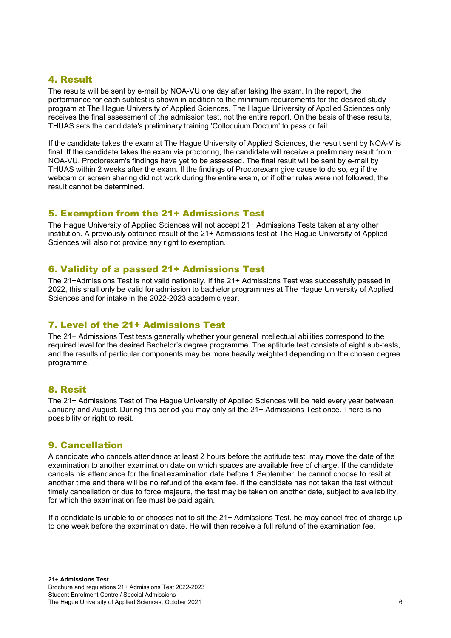### <span id="page-6-0"></span>4. Result

The results will be sent by e-mail by NOA-VU one day after taking the exam. In the report, the performance for each subtest is shown in addition to the minimum requirements for the desired study program at The Hague University of Applied Sciences. The Hague University of Applied Sciences only receives the final assessment of the admission test, not the entire report. On the basis of these results, THUAS sets the candidate's preliminary training 'Colloquium Doctum' to pass or fail.

If the candidate takes the exam at The Hague University of Applied Sciences, the result sent by NOA-V is final. If the candidate takes the exam via proctoring, the candidate will receive a preliminary result from NOA-VU. Proctorexam's findings have yet to be assessed. The final result will be sent by e-mail by THUAS within 2 weeks after the exam. If the findings of Proctorexam give cause to do so, eg if the webcam or screen sharing did not work during the entire exam, or if other rules were not followed, the result cannot be determined.

#### <span id="page-6-1"></span>5. Exemption from the 21+ Admissions Test

The Hague University of Applied Sciences will not accept 21+ Admissions Tests taken at any other institution. A previously obtained result of the 21+ Admissions test at The Hague University of Applied Sciences will also not provide any right to exemption.

#### <span id="page-6-2"></span>6. Validity of a passed 21+ Admissions Test

The 21+Admissions Test is not valid nationally. If the 21+ Admissions Test was successfully passed in 2022, this shall only be valid for admission to bachelor programmes at The Hague University of Applied Sciences and for intake in the 2022-2023 academic year.

#### <span id="page-6-3"></span>7. Level of the 21+ Admissions Test

The 21+ Admissions Test tests generally whether your general intellectual abilities correspond to the required level for the desired Bachelor's degree programme. The aptitude test consists of eight sub-tests, and the results of particular components may be more heavily weighted depending on the chosen degree programme.

#### <span id="page-6-4"></span>8. Resit

The 21+ Admissions Test of The Hague University of Applied Sciences will be held every year between January and August. During this period you may only sit the 21+ Admissions Test once. There is no possibility or right to resit.

#### <span id="page-6-5"></span>9. Cancellation

A candidate who cancels attendance at least 2 hours before the aptitude test, may move the date of the examination to another examination date on which spaces are available free of charge. If the candidate cancels his attendance for the final examination date before 1 September, he cannot choose to resit at another time and there will be no refund of the exam fee. If the candidate has not taken the test without timely cancellation or due to force majeure, the test may be taken on another date, subject to availability, for which the examination fee must be paid again.

If a candidate is unable to or chooses not to sit the 21+ Admissions Test, he may cancel free of charge up to one week before the examination date. He will then receive a full refund of the examination fee.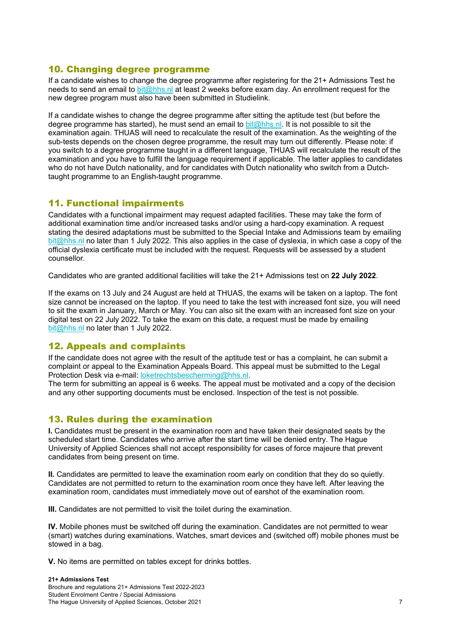#### <span id="page-7-0"></span>10. Changing degree programme

If a candidate wishes to change the degree programme after registering for the 21+ Admissions Test he needs to send an email to [bit@hhs.nl](mailto:bit@hhs.nl) at least 2 weeks before exam day. An enrollment request for the new degree program must also have been submitted in Studielink.

If a candidate wishes to change the degree programme after sitting the aptitude test (but before the degree programme has started), he must send an email to [bit@hhs.nl.](mailto:bit@hhs.nl) It is not possible to sit the examination again. THUAS will need to recalculate the result of the examination. As the weighting of the sub-tests depends on the chosen degree programme, the result may turn out differently. Please note: if you switch to a degree programme taught in a different language, THUAS will recalculate the result of the examination and you have to fulfill the language requirement if applicable. The latter applies to candidates who do not have Dutch nationality, and for candidates with Dutch nationality who switch from a Dutchtaught programme to an English-taught programme.

#### <span id="page-7-1"></span>11. Functional impairments

Candidates with a functional impairment may request adapted facilities. These may take the form of additional examination time and/or increased tasks and/or using a hard-copy examination. A request stating the desired adaptations must be submitted to the Special Intake and Admissions team by emailing [bit@hhs.nl](mailto:bit@hhs.nl) no later than 1 July 2022. This also applies in the case of dyslexia, in which case a copy of the official dyslexia certificate must be included with the request. Requests will be assessed by a student counsellor.

Candidates who are granted additional facilities will take the 21+ Admissions test on **22 July 2022**.

If the exams on 13 July and 24 August are held at THUAS, the exams will be taken on a laptop. The font size cannot be increased on the laptop. If you need to take the test with increased font size, you will need to sit the exam in January, March or May. You can also sit the exam with an increased font size on your digital test on 22 July 2022. To take the exam on this date, a request must be made by emailing [bit@hhs.nl](mailto:bit@hhs.nl) no later than 1 July 2022.

#### <span id="page-7-2"></span>12. Appeals and complaints

If the candidate does not agree with the result of the aptitude test or has a complaint, he can submit a complaint or appeal to the Examination Appeals Board. This appeal must be submitted to the Legal Protection Desk via e-mail: [loketrechtsbescherming@hhs.nl.](mailto:loketrechtsbescherming@hhs.nl)

The term for submitting an appeal is 6 weeks. The appeal must be motivated and a copy of the decision and any other supporting documents must be enclosed. Inspection of the test is not possible.

#### <span id="page-7-3"></span>13. Rules during the examination

**I.** Candidates must be present in the examination room and have taken their designated seats by the scheduled start time. Candidates who arrive after the start time will be denied entry. The Hague University of Applied Sciences shall not accept responsibility for cases of force majeure that prevent candidates from being present on time.

**II.** Candidates are permitted to leave the examination room early on condition that they do so quietly. Candidates are not permitted to return to the examination room once they have left. After leaving the examination room, candidates must immediately move out of earshot of the examination room.

**III.** Candidates are not permitted to visit the toilet during the examination.

**IV.** Mobile phones must be switched off during the examination. Candidates are not permitted to wear (smart) watches during examinations. Watches, smart devices and (switched off) mobile phones must be stowed in a bag.

**V.** No items are permitted on tables except for drinks bottles.

#### **21+ Admissions Test** Brochure and regulations 21+ Admissions Test 2022-2023 Student Enrolment Centre / Special Admissions The Hague University of Applied Sciences, October 2021 7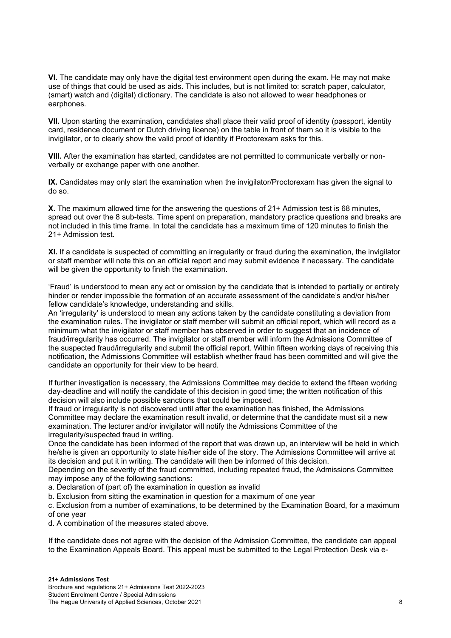**VI.** The candidate may only have the digital test environment open during the exam. He may not make use of things that could be used as aids. This includes, but is not limited to: scratch paper, calculator, (smart) watch and (digital) dictionary. The candidate is also not allowed to wear headphones or earphones.

**VII.** Upon starting the examination, candidates shall place their valid proof of identity (passport, identity card, residence document or Dutch driving licence) on the table in front of them so it is visible to the invigilator, or to clearly show the valid proof of identity if Proctorexam asks for this.

**VIII.** After the examination has started, candidates are not permitted to communicate verbally or nonverbally or exchange paper with one another.

**IX.** Candidates may only start the examination when the invigilator/Proctorexam has given the signal to do so.

**X.** The maximum allowed time for the answering the questions of 21+ Admission test is 68 minutes, spread out over the 8 sub-tests. Time spent on preparation, mandatory practice questions and breaks are not included in this time frame. In total the candidate has a maximum time of 120 minutes to finish the 21+ Admission test.

**XI.** If a candidate is suspected of committing an irregularity or fraud during the examination, the invigilator or staff member will note this on an official report and may submit evidence if necessary. The candidate will be given the opportunity to finish the examination.

'Fraud' is understood to mean any act or omission by the candidate that is intended to partially or entirely hinder or render impossible the formation of an accurate assessment of the candidate's and/or his/her fellow candidate's knowledge, understanding and skills.

An 'irregularity' is understood to mean any actions taken by the candidate constituting a deviation from the examination rules. The invigilator or staff member will submit an official report, which will record as a minimum what the invigilator or staff member has observed in order to suggest that an incidence of fraud/irregularity has occurred. The invigilator or staff member will inform the Admissions Committee of the suspected fraud/irregularity and submit the official report. Within fifteen working days of receiving this notification, the Admissions Committee will establish whether fraud has been committed and will give the candidate an opportunity for their view to be heard.

If further investigation is necessary, the Admissions Committee may decide to extend the fifteen working day-deadline and will notify the candidate of this decision in good time; the written notification of this decision will also include possible sanctions that could be imposed.

If fraud or irregularity is not discovered until after the examination has finished, the Admissions Committee may declare the examination result invalid, or determine that the candidate must sit a new examination. The lecturer and/or invigilator will notify the Admissions Committee of the irregularity/suspected fraud in writing.

Once the candidate has been informed of the report that was drawn up, an interview will be held in which he/she is given an opportunity to state his/her side of the story. The Admissions Committee will arrive at its decision and put it in writing. The candidate will then be informed of this decision.

Depending on the severity of the fraud committed, including repeated fraud, the Admissions Committee may impose any of the following sanctions:

a. Declaration of (part of) the examination in question as invalid

b. Exclusion from sitting the examination in question for a maximum of one year

c. Exclusion from a number of examinations, to be determined by the Examination Board, for a maximum of one year

d. A combination of the measures stated above.

If the candidate does not agree with the decision of the Admission Committee, the candidate can appeal to the Examination Appeals Board. This appeal must be submitted to the Legal Protection Desk via e